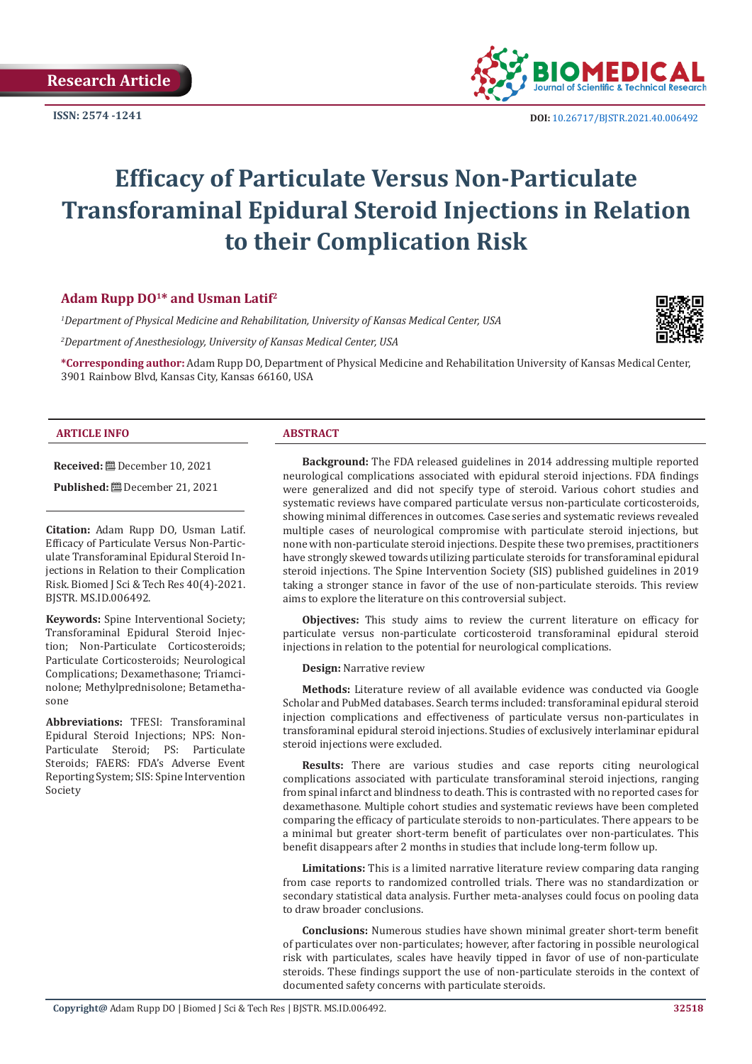

**ISSN:** 2574 -1241 **DOI:** [10.26717/BJSTR.2021.40.006492](https://dx.doi.org/10.26717/BJSTR.2021.40.006493)

# **Efficacy of Particulate Versus Non-Particulate Transforaminal Epidural Steroid Injections in Relation to their Complication Risk**

# **Adam Rupp DO<sup>1</sup>\* and Usman Latif<sup>2</sup>**

*1 Department of Physical Medicine and Rehabilitation, University of Kansas Medical Center, USA*

*2 Department of Anesthesiology, University of Kansas Medical Center, USA*

**\*Corresponding author:** Adam Rupp DO, Department of Physical Medicine and Rehabilitation University of Kansas Medical Center, 3901 Rainbow Blvd, Kansas City, Kansas 66160, USA

#### **ARTICLE INFO ABSTRACT**

**Received:** December 10, 2021

**Published:** December 21, 2021

**Citation:** Adam Rupp DO, Usman Latif. Efficacy of Particulate Versus Non-Particulate Transforaminal Epidural Steroid Injections in Relation to their Complication Risk. Biomed J Sci & Tech Res 40(4)-2021. BJSTR. MS.ID.006492.

**Keywords:** Spine Interventional Society; Transforaminal Epidural Steroid Injection; Non-Particulate Corticosteroids; Particulate Corticosteroids; Neurological Complications; Dexamethasone; Triamcinolone; Methylprednisolone; Betamethasone

**Abbreviations:** TFESI: Transforaminal Epidural Steroid Injections; NPS: Non-Particulate Steroid; PS: Particulate Steroids; FAERS: FDA's Adverse Event Reporting System; SIS: Spine Intervention Society

**Background:** The FDA released guidelines in 2014 addressing multiple reported neurological complications associated with epidural steroid injections. FDA findings were generalized and did not specify type of steroid. Various cohort studies and systematic reviews have compared particulate versus non-particulate corticosteroids, showing minimal differences in outcomes. Case series and systematic reviews revealed multiple cases of neurological compromise with particulate steroid injections, but none with non-particulate steroid injections. Despite these two premises, practitioners have strongly skewed towards utilizing particulate steroids for transforaminal epidural steroid injections. The Spine Intervention Society (SIS) published guidelines in 2019 taking a stronger stance in favor of the use of non-particulate steroids. This review aims to explore the literature on this controversial subject.

**Objectives:** This study aims to review the current literature on efficacy for particulate versus non-particulate corticosteroid transforaminal epidural steroid injections in relation to the potential for neurological complications.

**Design:** Narrative review

**Methods:** Literature review of all available evidence was conducted via Google Scholar and PubMed databases. Search terms included: transforaminal epidural steroid injection complications and effectiveness of particulate versus non-particulates in transforaminal epidural steroid injections. Studies of exclusively interlaminar epidural steroid injections were excluded.

**Results:** There are various studies and case reports citing neurological complications associated with particulate transforaminal steroid injections, ranging from spinal infarct and blindness to death. This is contrasted with no reported cases for dexamethasone. Multiple cohort studies and systematic reviews have been completed comparing the efficacy of particulate steroids to non-particulates. There appears to be a minimal but greater short-term benefit of particulates over non-particulates. This benefit disappears after 2 months in studies that include long-term follow up.

**Limitations:** This is a limited narrative literature review comparing data ranging from case reports to randomized controlled trials. There was no standardization or secondary statistical data analysis. Further meta-analyses could focus on pooling data to draw broader conclusions.

**Conclusions:** Numerous studies have shown minimal greater short-term benefit of particulates over non-particulates; however, after factoring in possible neurological risk with particulates, scales have heavily tipped in favor of use of non-particulate steroids. These findings support the use of non-particulate steroids in the context of documented safety concerns with particulate steroids.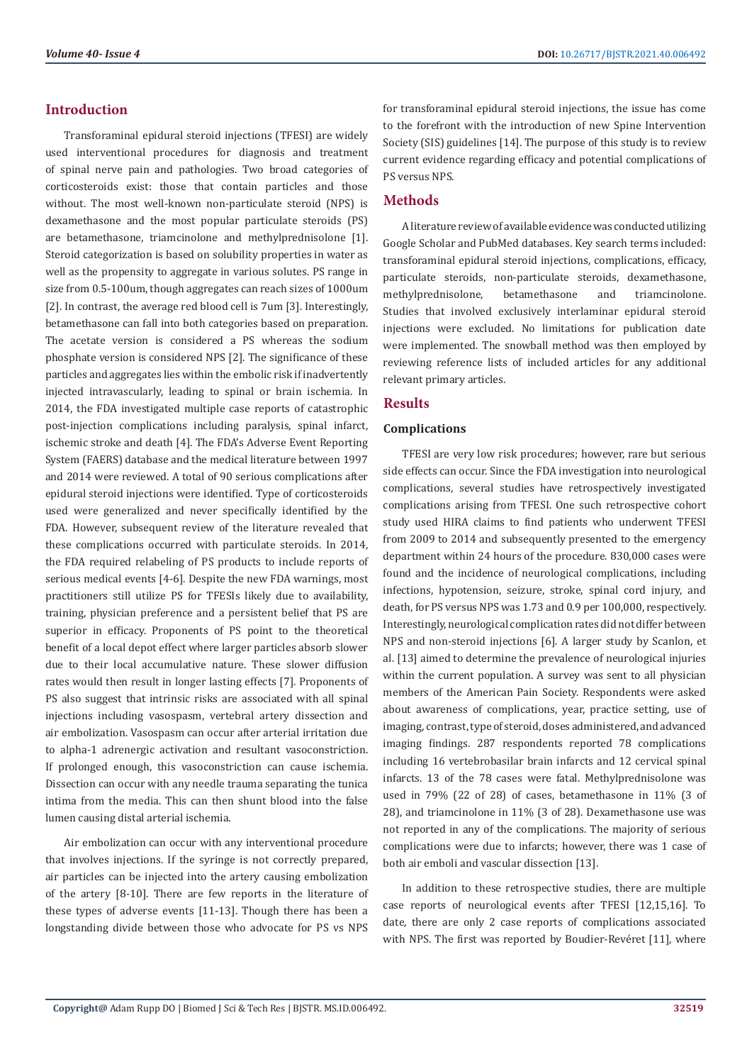# **Introduction**

Transforaminal epidural steroid injections (TFESI) are widely used interventional procedures for diagnosis and treatment of spinal nerve pain and pathologies. Two broad categories of corticosteroids exist: those that contain particles and those without. The most well-known non-particulate steroid (NPS) is dexamethasone and the most popular particulate steroids (PS) are betamethasone, triamcinolone and methylprednisolone [1]. Steroid categorization is based on solubility properties in water as well as the propensity to aggregate in various solutes. PS range in size from 0.5-100um, though aggregates can reach sizes of 1000um [2]. In contrast, the average red blood cell is 7um [3]. Interestingly, betamethasone can fall into both categories based on preparation. The acetate version is considered a PS whereas the sodium phosphate version is considered NPS [2]. The significance of these particles and aggregates lies within the embolic risk if inadvertently injected intravascularly, leading to spinal or brain ischemia. In 2014, the FDA investigated multiple case reports of catastrophic post-injection complications including paralysis, spinal infarct, ischemic stroke and death [4]. The FDA's Adverse Event Reporting System (FAERS) database and the medical literature between 1997 and 2014 were reviewed. A total of 90 serious complications after epidural steroid injections were identified. Type of corticosteroids used were generalized and never specifically identified by the FDA. However, subsequent review of the literature revealed that these complications occurred with particulate steroids. In 2014, the FDA required relabeling of PS products to include reports of serious medical events [4-6]. Despite the new FDA warnings, most practitioners still utilize PS for TFESIs likely due to availability, training, physician preference and a persistent belief that PS are superior in efficacy. Proponents of PS point to the theoretical benefit of a local depot effect where larger particles absorb slower due to their local accumulative nature. These slower diffusion rates would then result in longer lasting effects [7]. Proponents of PS also suggest that intrinsic risks are associated with all spinal injections including vasospasm, vertebral artery dissection and air embolization. Vasospasm can occur after arterial irritation due to alpha-1 adrenergic activation and resultant vasoconstriction. If prolonged enough, this vasoconstriction can cause ischemia. Dissection can occur with any needle trauma separating the tunica intima from the media. This can then shunt blood into the false lumen causing distal arterial ischemia.

Air embolization can occur with any interventional procedure that involves injections. If the syringe is not correctly prepared, air particles can be injected into the artery causing embolization of the artery [8-10]. There are few reports in the literature of these types of adverse events [11-13]. Though there has been a longstanding divide between those who advocate for PS vs NPS for transforaminal epidural steroid injections, the issue has come to the forefront with the introduction of new Spine Intervention Society (SIS) guidelines [14]. The purpose of this study is to review current evidence regarding efficacy and potential complications of PS versus NPS.

# **Methods**

A literature review of available evidence was conducted utilizing Google Scholar and PubMed databases. Key search terms included: transforaminal epidural steroid injections, complications, efficacy, particulate steroids, non-particulate steroids, dexamethasone, methylprednisolone, betamethasone and triamcinolone. Studies that involved exclusively interlaminar epidural steroid injections were excluded. No limitations for publication date were implemented. The snowball method was then employed by reviewing reference lists of included articles for any additional relevant primary articles.

# **Results**

#### **Complications**

TFESI are very low risk procedures; however, rare but serious side effects can occur. Since the FDA investigation into neurological complications, several studies have retrospectively investigated complications arising from TFESI. One such retrospective cohort study used HIRA claims to find patients who underwent TFESI from 2009 to 2014 and subsequently presented to the emergency department within 24 hours of the procedure. 830,000 cases were found and the incidence of neurological complications, including infections, hypotension, seizure, stroke, spinal cord injury, and death, for PS versus NPS was 1.73 and 0.9 per 100,000, respectively. Interestingly, neurological complication rates did not differ between NPS and non-steroid injections [6]. A larger study by Scanlon, et al. [13] aimed to determine the prevalence of neurological injuries within the current population. A survey was sent to all physician members of the American Pain Society. Respondents were asked about awareness of complications, year, practice setting, use of imaging, contrast, type of steroid, doses administered, and advanced imaging findings. 287 respondents reported 78 complications including 16 vertebrobasilar brain infarcts and 12 cervical spinal infarcts. 13 of the 78 cases were fatal. Methylprednisolone was used in 79% (22 of 28) of cases, betamethasone in 11% (3 of 28), and triamcinolone in 11% (3 of 28). Dexamethasone use was not reported in any of the complications. The majority of serious complications were due to infarcts; however, there was 1 case of both air emboli and vascular dissection [13].

In addition to these retrospective studies, there are multiple case reports of neurological events after TFESI [12,15,16]. To date, there are only 2 case reports of complications associated with NPS. The first was reported by Boudier-Revéret [11], where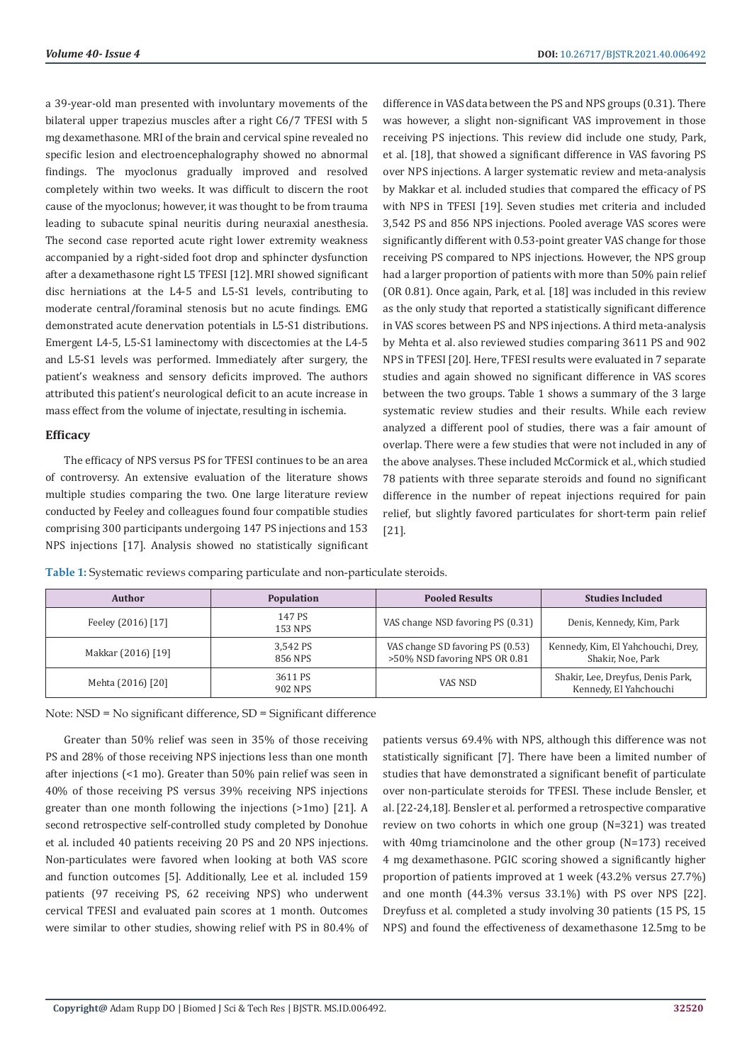a 39-year-old man presented with involuntary movements of the bilateral upper trapezius muscles after a right C6/7 TFESI with 5 mg dexamethasone. MRI of the brain and cervical spine revealed no specific lesion and electroencephalography showed no abnormal findings. The myoclonus gradually improved and resolved completely within two weeks. It was difficult to discern the root cause of the myoclonus; however, it was thought to be from trauma leading to subacute spinal neuritis during neuraxial anesthesia. The second case reported acute right lower extremity weakness accompanied by a right-sided foot drop and sphincter dysfunction after a dexamethasone right L5 TFESI [12]. MRI showed significant disc herniations at the L4-5 and L5-S1 levels, contributing to moderate central/foraminal stenosis but no acute findings. EMG demonstrated acute denervation potentials in L5-S1 distributions. Emergent L4-5, L5-S1 laminectomy with discectomies at the L4-5 and L5-S1 levels was performed. Immediately after surgery, the patient's weakness and sensory deficits improved. The authors attributed this patient's neurological deficit to an acute increase in mass effect from the volume of injectate, resulting in ischemia.

#### **Efficacy**

The efficacy of NPS versus PS for TFESI continues to be an area of controversy. An extensive evaluation of the literature shows multiple studies comparing the two. One large literature review conducted by Feeley and colleagues found four compatible studies comprising 300 participants undergoing 147 PS injections and 153 NPS injections [17]. Analysis showed no statistically significant difference in VAS data between the PS and NPS groups (0.31). There was however, a slight non-significant VAS improvement in those receiving PS injections. This review did include one study, Park, et al. [18], that showed a significant difference in VAS favoring PS over NPS injections. A larger systematic review and meta-analysis by Makkar et al. included studies that compared the efficacy of PS with NPS in TFESI [19]. Seven studies met criteria and included 3,542 PS and 856 NPS injections. Pooled average VAS scores were significantly different with 0.53-point greater VAS change for those receiving PS compared to NPS injections. However, the NPS group had a larger proportion of patients with more than 50% pain relief (OR 0.81). Once again, Park, et al. [18] was included in this review as the only study that reported a statistically significant difference in VAS scores between PS and NPS injections. A third meta-analysis by Mehta et al. also reviewed studies comparing 3611 PS and 902 NPS in TFESI [20]. Here, TFESI results were evaluated in 7 separate studies and again showed no significant difference in VAS scores between the two groups. Table 1 shows a summary of the 3 large systematic review studies and their results. While each review analyzed a different pool of studies, there was a fair amount of overlap. There were a few studies that were not included in any of the above analyses. These included McCormick et al., which studied 78 patients with three separate steroids and found no significant difference in the number of repeat injections required for pain relief, but slightly favored particulates for short-term pain relief [21].

**Table 1:** Systematic reviews comparing particulate and non-particulate steroids.

| <b>Author</b>      | <b>Population</b>   | <b>Pooled Results</b>                                             | <b>Studies Included</b>                                     |
|--------------------|---------------------|-------------------------------------------------------------------|-------------------------------------------------------------|
| Feeley (2016) [17] | 147 PS<br>153 NPS   | VAS change NSD favoring PS (0.31)                                 | Denis, Kennedy, Kim, Park                                   |
| Makkar (2016) [19] | 3.542 PS<br>856 NPS | VAS change SD favoring PS (0.53)<br>>50% NSD favoring NPS OR 0.81 | Kennedy, Kim, El Yahchouchi, Drey,<br>Shakir, Noe, Park     |
| Mehta (2016) [20]  | 3611 PS<br>902 NPS  | VAS NSD                                                           | Shakir, Lee, Dreyfus, Denis Park,<br>Kennedy, El Yahchouchi |

Note: NSD = No significant difference, SD = Significant difference

Greater than 50% relief was seen in 35% of those receiving PS and 28% of those receiving NPS injections less than one month after injections (<1 mo). Greater than 50% pain relief was seen in 40% of those receiving PS versus 39% receiving NPS injections greater than one month following the injections (>1mo) [21]. A second retrospective self-controlled study completed by Donohue et al. included 40 patients receiving 20 PS and 20 NPS injections. Non-particulates were favored when looking at both VAS score and function outcomes [5]. Additionally, Lee et al. included 159 patients (97 receiving PS, 62 receiving NPS) who underwent cervical TFESI and evaluated pain scores at 1 month. Outcomes were similar to other studies, showing relief with PS in 80.4% of patients versus 69.4% with NPS, although this difference was not statistically significant [7]. There have been a limited number of studies that have demonstrated a significant benefit of particulate over non-particulate steroids for TFESI. These include Bensler, et al. [22-24,18]. Bensler et al. performed a retrospective comparative review on two cohorts in which one group (N=321) was treated with 40mg triamcinolone and the other group (N=173) received 4 mg dexamethasone. PGIC scoring showed a significantly higher proportion of patients improved at 1 week (43.2% versus 27.7%) and one month (44.3% versus 33.1%) with PS over NPS [22]. Dreyfuss et al. completed a study involving 30 patients (15 PS, 15 NPS) and found the effectiveness of dexamethasone 12.5mg to be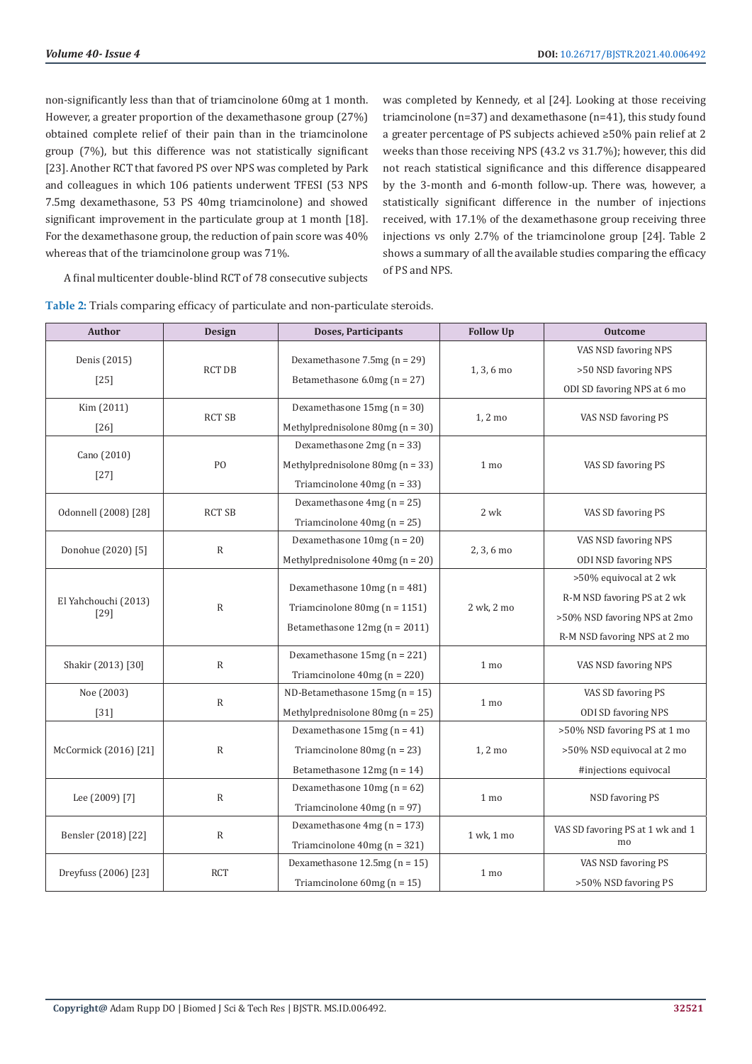non-significantly less than that of triamcinolone 60mg at 1 month. However, a greater proportion of the dexamethasone group (27%) obtained complete relief of their pain than in the triamcinolone group (7%), but this difference was not statistically significant [23]. Another RCT that favored PS over NPS was completed by Park and colleagues in which 106 patients underwent TFESI (53 NPS 7.5mg dexamethasone, 53 PS 40mg triamcinolone) and showed significant improvement in the particulate group at 1 month [18]. For the dexamethasone group, the reduction of pain score was 40% whereas that of the triamcinolone group was 71%.

was completed by Kennedy, et al [24]. Looking at those receiving triamcinolone (n=37) and dexamethasone (n=41), this study found a greater percentage of PS subjects achieved ≥50% pain relief at 2 weeks than those receiving NPS (43.2 vs 31.7%); however, this did not reach statistical significance and this difference disappeared by the 3-month and 6-month follow-up. There was, however, a statistically significant difference in the number of injections received, with 17.1% of the dexamethasone group receiving three injections vs only 2.7% of the triamcinolone group [24]. Table 2 shows a summary of all the available studies comparing the efficacy of PS and NPS.

A final multicenter double-blind RCT of 78 consecutive subjects

| Author                         | <b>Design</b>  | Doses, Participants                                                               | <b>Follow Up</b> | <b>Outcome</b>                   |
|--------------------------------|----------------|-----------------------------------------------------------------------------------|------------------|----------------------------------|
| Denis (2015)<br>$[25]$         | <b>RCT DB</b>  |                                                                                   |                  | VAS NSD favoring NPS             |
|                                |                | Dexamethasone 7.5mg $(n = 29)$<br>$1, 3, 6$ mo<br>Betamethasone $6.0$ mg (n = 27) |                  | >50 NSD favoring NPS             |
|                                |                |                                                                                   |                  | ODI SD favoring NPS at 6 mo      |
| Kim (2011)                     | <b>RCT SB</b>  | Dexamethasone $15mg(n = 30)$                                                      | 1, 2 mo          |                                  |
| $[26]$                         |                | Methylprednisolone 80mg ( $n = 30$ )                                              |                  | VAS NSD favoring PS              |
|                                | P <sub>O</sub> | Dexamethasone $2mg(n = 33)$                                                       |                  |                                  |
| Cano (2010)<br>$[27]$          |                | Methylprednisolone 80mg ( $n = 33$ )                                              | 1 mo             | VAS SD favoring PS               |
|                                |                | Triamcinolone $40mg(n = 33)$                                                      |                  |                                  |
| Odonnell (2008) [28]           | <b>RCT SB</b>  | Dexamethasone $4mg(n = 25)$                                                       | 2 wk             | VAS SD favoring PS               |
|                                |                | Triamcinolone $40mg(n = 25)$                                                      |                  |                                  |
| Donohue (2020) [5]             | $\mathbb R$    | Dexamethasone $10mg(n = 20)$                                                      | 2, 3, 6 mo       | VAS NSD favoring NPS             |
|                                |                | Methylprednisolone $40mg(n = 20)$                                                 |                  | <b>ODI NSD favoring NPS</b>      |
| El Yahchouchi (2013)<br>$[29]$ | ${\sf R}$      |                                                                                   | 2 wk, 2 mo       | >50% equivocal at 2 wk           |
|                                |                | Dexamethasone $10mg(n = 481)$                                                     |                  | R-M NSD favoring PS at 2 wk      |
|                                |                | Triamcinolone 80mg ( $n = 1151$ )                                                 |                  | >50% NSD favoring NPS at 2mo     |
|                                |                | Betamethasone 12mg (n = 2011)                                                     |                  | R-M NSD favoring NPS at 2 mo     |
| Shakir (2013) [30]             | $\mathbb R$    | Dexamethasone $15mg(n = 221)$                                                     | 1 mo             | VAS NSD favoring NPS             |
|                                |                | Triamcinolone $40mg(n = 220)$                                                     |                  |                                  |
| Noe (2003)                     | $\mathbb R$    | ND-Betamethasone $15mg(n = 15)$                                                   | 1 mo             | VAS SD favoring PS               |
| $[31]$                         |                | Methylprednisolone $80mg(n = 25)$                                                 |                  | <b>ODI SD favoring NPS</b>       |
| McCormick (2016) [21]          | $\mathbb R$    | Dexamethasone 15mg (n = 41)                                                       | 1, 2 mo          | >50% NSD favoring PS at 1 mo     |
|                                |                | Triamcinolone 80mg ( $n = 23$ )                                                   |                  | >50% NSD equivocal at 2 mo       |
|                                |                | Betamethasone $12mg(n = 14)$                                                      |                  | #injections equivocal            |
| Lee (2009) [7]                 | $\mathbb{R}$   | Dexamethasone $10mg(n = 62)$                                                      | 1 mo             |                                  |
|                                |                | Triamcinolone $40mg(n = 97)$                                                      |                  | NSD favoring PS                  |
| Bensler (2018) [22]            | $\mathbb R$    | Dexamethasone $4mg(n = 173)$                                                      | 1 wk, 1 mo       | VAS SD favoring PS at 1 wk and 1 |
|                                |                | Triamcinolone $40mg(n = 321)$                                                     |                  | mo                               |
| Dreyfuss (2006) [23]           | <b>RCT</b>     | Dexamethasone $12.5mg(n = 15)$                                                    | 1 mo             | VAS NSD favoring PS              |
|                                |                | Triamcinolone $60mg(n = 15)$                                                      |                  | >50% NSD favoring PS             |

**Table 2:** Trials comparing efficacy of particulate and non-particulate steroids.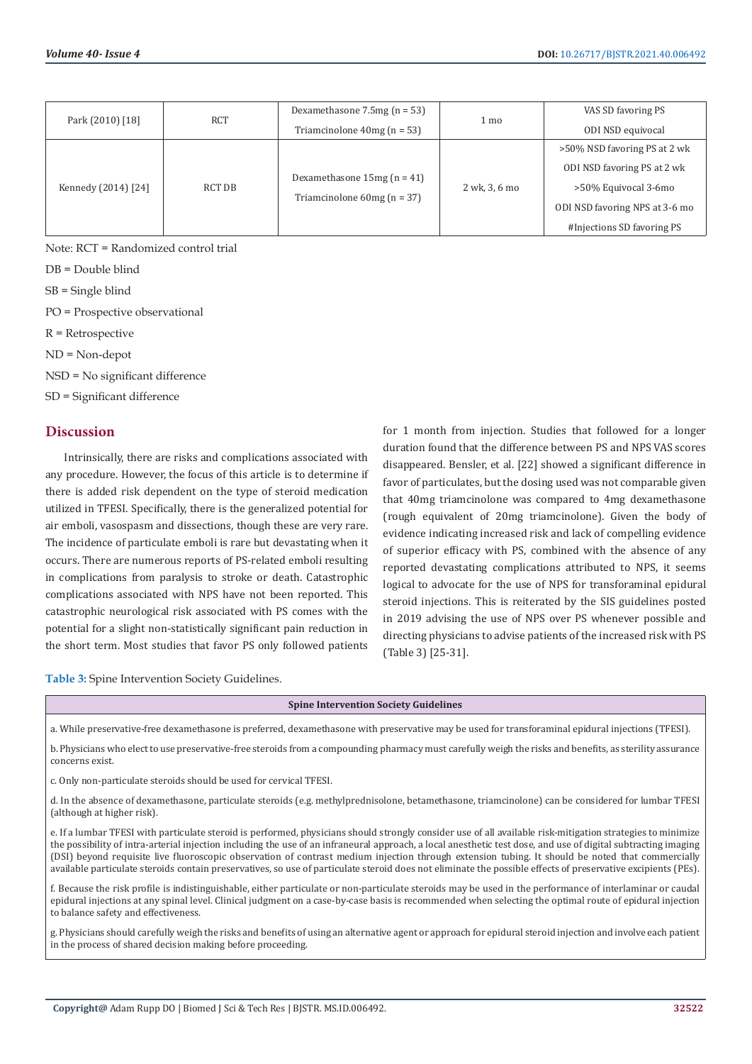| Park (2010) [18]    | RCT    | Dexamethasone $7.5mg(n = 53)$                                | 1 mo          | VAS SD favoring PS             |
|---------------------|--------|--------------------------------------------------------------|---------------|--------------------------------|
|                     |        | Triamcinolone $40mg(n = 53)$                                 |               | ODI NSD equivocal              |
| Kennedy (2014) [24] | RCT DB | Dexamethasone $15mg(n = 41)$<br>Triamcinolone $60mg(n = 37)$ | 2 wk, 3, 6 mo | >50% NSD favoring PS at 2 wk   |
|                     |        |                                                              |               | ODI NSD favoring PS at 2 wk    |
|                     |        |                                                              |               | >50% Equivocal 3-6mo           |
|                     |        |                                                              |               | ODI NSD favoring NPS at 3-6 mo |
|                     |        |                                                              |               | #Injections SD favoring PS     |

Note: RCT = Randomized control trial

DB = Double blind

SB = Single blind

PO = Prospective observational

R = Retrospective

ND = Non-depot

NSD = No significant difference

SD = Significant difference

#### **Discussion**

Intrinsically, there are risks and complications associated with any procedure. However, the focus of this article is to determine if there is added risk dependent on the type of steroid medication utilized in TFESI. Specifically, there is the generalized potential for air emboli, vasospasm and dissections, though these are very rare. The incidence of particulate emboli is rare but devastating when it occurs. There are numerous reports of PS-related emboli resulting in complications from paralysis to stroke or death. Catastrophic complications associated with NPS have not been reported. This catastrophic neurological risk associated with PS comes with the potential for a slight non-statistically significant pain reduction in the short term. Most studies that favor PS only followed patients

for 1 month from injection. Studies that followed for a longer duration found that the difference between PS and NPS VAS scores disappeared. Bensler, et al. [22] showed a significant difference in favor of particulates, but the dosing used was not comparable given that 40mg triamcinolone was compared to 4mg dexamethasone (rough equivalent of 20mg triamcinolone). Given the body of evidence indicating increased risk and lack of compelling evidence of superior efficacy with PS, combined with the absence of any reported devastating complications attributed to NPS, it seems logical to advocate for the use of NPS for transforaminal epidural steroid injections. This is reiterated by the SIS guidelines posted in 2019 advising the use of NPS over PS whenever possible and directing physicians to advise patients of the increased risk with PS (Table 3) [25-31].

**Table 3:** Spine Intervention Society Guidelines.

#### **Spine Intervention Society Guidelines**

a. While preservative-free dexamethasone is preferred, dexamethasone with preservative may be used for transforaminal epidural injections (TFESI).

b. Physicians who elect to use preservative-free steroids from a compounding pharmacy must carefully weigh the risks and benefits, as sterility assurance concerns exist.

c. Only non-particulate steroids should be used for cervical TFESI.

d. In the absence of dexamethasone, particulate steroids (e.g. methylprednisolone, betamethasone, triamcinolone) can be considered for lumbar TFESI (although at higher risk).

e. If a lumbar TFESI with particulate steroid is performed, physicians should strongly consider use of all available risk-mitigation strategies to minimize the possibility of intra-arterial injection including the use of an infraneural approach, a local anesthetic test dose, and use of digital subtracting imaging (DSI) beyond requisite live fluoroscopic observation of contrast medium injection through extension tubing. It should be noted that commercially available particulate steroids contain preservatives, so use of particulate steroid does not eliminate the possible effects of preservative excipients (PEs).

f. Because the risk profile is indistinguishable, either particulate or non-particulate steroids may be used in the performance of interlaminar or caudal epidural injections at any spinal level. Clinical judgment on a case-by-case basis is recommended when selecting the optimal route of epidural injection to balance safety and effectiveness.

g. Physicians should carefully weigh the risks and benefits of using an alternative agent or approach for epidural steroid injection and involve each patient in the process of shared decision making before proceeding.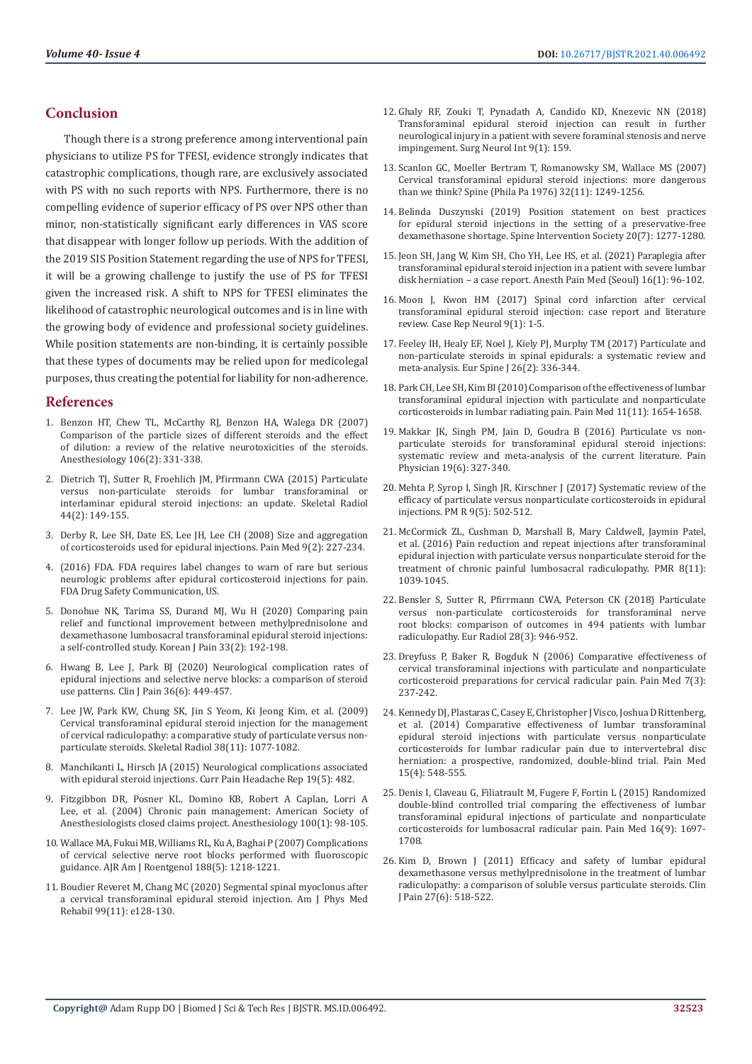# **Conclusion**

Though there is a strong preference among interventional pain physicians to utilize PS for TFESI, evidence strongly indicates that catastrophic complications, though rare, are exclusively associated with PS with no such reports with NPS. Furthermore, there is no compelling evidence of superior efficacy of PS over NPS other than minor, non-statistically significant early differences in VAS score that disappear with longer follow up periods. With the addition of the 2019 SIS Position Statement regarding the use of NPS for TFESI, it will be a growing challenge to justify the use of PS for TFESI given the increased risk. A shift to NPS for TFESI eliminates the likelihood of catastrophic neurological outcomes and is in line with the growing body of evidence and professional society guidelines. While position statements are non-binding, it is certainly possible that these types of documents may be relied upon for medicolegal purposes, thus creating the potential for liability for non-adherence.

#### **References**

- 1. [Benzon HT, Chew TL, McCarthy RJ, Benzon HA, Walega DR \(2007\)](https://pubmed.ncbi.nlm.nih.gov/17264728/)  [Comparison of the particle sizes of different steroids and the effect](https://pubmed.ncbi.nlm.nih.gov/17264728/)  [of dilution: a review of the relative neurotoxicities of the steroids.](https://pubmed.ncbi.nlm.nih.gov/17264728/)  [Anesthesiology 106\(2\): 331-338.](https://pubmed.ncbi.nlm.nih.gov/17264728/)
- 2. [Dietrich TJ, Sutter R, Froehlich JM, Pfirrmann CWA \(2015\) Particulate](https://pubmed.ncbi.nlm.nih.gov/25394547/)  [versus non-particulate steroids for lumbar transforaminal or](https://pubmed.ncbi.nlm.nih.gov/25394547/)  [interlaminar epidural steroid injections: an update. Skeletal Radiol](https://pubmed.ncbi.nlm.nih.gov/25394547/)  [44\(2\): 149-155.](https://pubmed.ncbi.nlm.nih.gov/25394547/)
- 3. [Derby R, Lee SH, Date ES, Lee JH, Lee CH \(2008\) Size and aggregation](https://pubmed.ncbi.nlm.nih.gov/18298706/)  [of corticosteroids used for epidural injections. Pain Med 9\(2\): 227-234.](https://pubmed.ncbi.nlm.nih.gov/18298706/)
- 4. [\(2016\) FDA. FDA requires label changes to warn of rare but serious](https://www.fda.gov/drugs/drug-safety-and-availability/fda-drug-safety-communication-fda-requires-label-changes-warn-rare-serious-neurologic-problems-after)  [neurologic problems after epidural corticosteroid injections for pain.](https://www.fda.gov/drugs/drug-safety-and-availability/fda-drug-safety-communication-fda-requires-label-changes-warn-rare-serious-neurologic-problems-after)  [FDA Drug Safety Communication, US.](https://www.fda.gov/drugs/drug-safety-and-availability/fda-drug-safety-communication-fda-requires-label-changes-warn-rare-serious-neurologic-problems-after)
- 5. [Donohue NK, Tarima SS, Durand MJ, Wu H \(2020\) Comparing pain](https://pubmed.ncbi.nlm.nih.gov/32235020/)  [relief and functional improvement between methylprednisolone and](https://pubmed.ncbi.nlm.nih.gov/32235020/)  [dexamethasone lumbosacral transforaminal epidural steroid injections:](https://pubmed.ncbi.nlm.nih.gov/32235020/)  [a self-controlled study. Korean J Pain 33\(2\): 192-198.](https://pubmed.ncbi.nlm.nih.gov/32235020/)
- 6. [Hwang B, Lee J, Park BJ \(2020\) Neurological complication rates of](https://pubmed.ncbi.nlm.nih.gov/32068540/)  [epidural injections and selective nerve blocks: a comparison of steroid](https://pubmed.ncbi.nlm.nih.gov/32068540/)  [use patterns. Clin J Pain 36\(6\): 449-457.](https://pubmed.ncbi.nlm.nih.gov/32068540/)
- 7. [Lee JW, Park KW, Chung SK, Jin S Yeom, Ki Jeong Kim, et al. \(2009\)](https://pubmed.ncbi.nlm.nih.gov/19543892/)  [Cervical transforaminal epidural steroid injection for the management](https://pubmed.ncbi.nlm.nih.gov/19543892/)  [of cervical radiculopathy: a comparative study of particulate versus non](https://pubmed.ncbi.nlm.nih.gov/19543892/)[particulate steroids. Skeletal Radiol 38\(11\): 1077-1082.](https://pubmed.ncbi.nlm.nih.gov/19543892/)
- 8. [Manchikanti L, Hirsch JA \(2015\) Neurological complications associated](https://pubmed.ncbi.nlm.nih.gov/25795154/)  [with epidural steroid injections. Curr Pain Headache Rep 19\(5\): 482.](https://pubmed.ncbi.nlm.nih.gov/25795154/)
- 9. [Fitzgibbon DR, Posner KL, Domino KB, Robert A Caplan, Lorri A](https://pubmed.ncbi.nlm.nih.gov/14695730/)  [Lee, et al. \(2004\) Chronic pain management: American Society of](https://pubmed.ncbi.nlm.nih.gov/14695730/)  [Anesthesiologists closed claims project. Anesthesiology 100\(1\): 98-105.](https://pubmed.ncbi.nlm.nih.gov/14695730/)
- 10. [Wallace MA, Fukui MB, Williams RL, Ku A, Baghai P \(2007\) Complications](https://pubmed.ncbi.nlm.nih.gov/17449763/)  [of cervical selective nerve root blocks performed with fluoroscopic](https://pubmed.ncbi.nlm.nih.gov/17449763/)  [guidance. AJR Am J Roentgenol 188\(5\): 1218-1221.](https://pubmed.ncbi.nlm.nih.gov/17449763/)
- 11. [Boudier Reveret M, Chang MC \(2020\) Segmental spinal myoclonus after](https://pubmed.ncbi.nlm.nih.gov/32149815/)  [a cervical transforaminal epidural steroid injection. Am J Phys Med](https://pubmed.ncbi.nlm.nih.gov/32149815/)  [Rehabil 99\(11\): e128-130.](https://pubmed.ncbi.nlm.nih.gov/32149815/)
- 12. [Ghaly RF, Zouki T, Pynadath A, Candido KD, Knezevic NN \(2018\)](https://www.researchgate.net/publication/326947671_Transforaminal_epidural_steroid_injection_can_result_in_further_neurological_injury_in_a_patient_with_severe_foraminal_stenosis_and_nerve_impingement) [Transforaminal epidural steroid injection can result in further](https://www.researchgate.net/publication/326947671_Transforaminal_epidural_steroid_injection_can_result_in_further_neurological_injury_in_a_patient_with_severe_foraminal_stenosis_and_nerve_impingement) [neurological injury in a patient with severe foraminal stenosis and nerve](https://www.researchgate.net/publication/326947671_Transforaminal_epidural_steroid_injection_can_result_in_further_neurological_injury_in_a_patient_with_severe_foraminal_stenosis_and_nerve_impingement) [impingement. Surg Neurol Int 9\(1\): 159.](https://www.researchgate.net/publication/326947671_Transforaminal_epidural_steroid_injection_can_result_in_further_neurological_injury_in_a_patient_with_severe_foraminal_stenosis_and_nerve_impingement)
- 13. [Scanlon GC, Moeller Bertram T, Romanowsky SM, Wallace MS \(2007\)](https://pubmed.ncbi.nlm.nih.gov/17495784/) [Cervical transforaminal epidural steroid injections: more dangerous](https://pubmed.ncbi.nlm.nih.gov/17495784/) [than we think? Spine \(Phila Pa 1976\) 32\(11\): 1249-1256.](https://pubmed.ncbi.nlm.nih.gov/17495784/)
- 14. [Belinda Duszynski \(2019\) Position statement on best practices](https://pubmed.ncbi.nlm.nih.gov/31034052/) [for epidural steroid injections in the setting of a preservative-free](https://pubmed.ncbi.nlm.nih.gov/31034052/) [dexamethasone shortage. Spine Intervention Society 20\(7\): 1277-1280.](https://pubmed.ncbi.nlm.nih.gov/31034052/)
- 15. [Jeon SH, Jang W, Kim SH, Cho YH, Lee HS, et al. \(2021\) Paraplegia after](https://pubmed.ncbi.nlm.nih.gov/33472291/) [transforaminal epidural steroid injection in a patient with severe lumbar](https://pubmed.ncbi.nlm.nih.gov/33472291/) [disk herniation – a case report. Anesth Pain Med \(Seoul\) 16\(1\): 96-102.](https://pubmed.ncbi.nlm.nih.gov/33472291/)
- 16. [Moon J, Kwon HM \(2017\) Spinal cord infarction after cervical](https://pubmed.ncbi.nlm.nih.gov/28203184/) [transforaminal epidural steroid injection: case report and literature](https://pubmed.ncbi.nlm.nih.gov/28203184/) [review. Case Rep Neurol 9\(1\): 1-5.](https://pubmed.ncbi.nlm.nih.gov/28203184/)
- 17. [Feeley IH, Healy EF, Noel J, Kiely PJ, Murphy TM \(2017\) Particulate and](https://pubmed.ncbi.nlm.nih.gov/26873103/) [non-particulate steroids in spinal epidurals: a systematic review and](https://pubmed.ncbi.nlm.nih.gov/26873103/) [meta-analysis. Eur Spine J 26\(2\): 336-344.](https://pubmed.ncbi.nlm.nih.gov/26873103/)
- 18. [Park CH, Lee SH, Kim BI \(2010\) Comparison of the effectiveness of lumbar](https://pubmed.ncbi.nlm.nih.gov/20807343/) [transforaminal epidural injection with particulate and nonparticulate](https://pubmed.ncbi.nlm.nih.gov/20807343/) [corticosteroids in lumbar radiating pain. Pain Med 11\(11\): 1654-1658.](https://pubmed.ncbi.nlm.nih.gov/20807343/)
- 19. [Makkar JK, Singh PM, Jain D, Goudra B \(2016\) Particulate vs non](https://pubmed.ncbi.nlm.nih.gov/27454262/)[particulate steroids for transforaminal epidural steroid injections:](https://pubmed.ncbi.nlm.nih.gov/27454262/) [systematic review and meta-analysis of the current literature. Pain](https://pubmed.ncbi.nlm.nih.gov/27454262/) [Physician 19\(6\): 327-340.](https://pubmed.ncbi.nlm.nih.gov/27454262/)
- 20. [Mehta P, Syrop I, Singh JR, Kirschner J \(2017\) Systematic review of the](https://pubmed.ncbi.nlm.nih.gov/27915069/) [efficacy of particulate versus nonparticulate corticosteroids in epidural](https://pubmed.ncbi.nlm.nih.gov/27915069/) [injections. PM R 9\(5\): 502-512.](https://pubmed.ncbi.nlm.nih.gov/27915069/)
- 21. [McCormick ZL, Cushman D, Marshall B, Mary Caldwell, Jaymin Patel,](https://pubmed.ncbi.nlm.nih.gov/27060648/) [et al. \(2016\) Pain reduction and repeat injections after transforaminal](https://pubmed.ncbi.nlm.nih.gov/27060648/) [epidural injection with particulate versus nonparticulate steroid for the](https://pubmed.ncbi.nlm.nih.gov/27060648/) [treatment of chronic painful lumbosacral radiculopathy. PMR 8\(11\):](https://pubmed.ncbi.nlm.nih.gov/27060648/) [1039-1045.](https://pubmed.ncbi.nlm.nih.gov/27060648/)
- 22. [Bensler S, Sutter R, Pfirrmann CWA, Peterson CK \(2018\) Particulate](https://pubmed.ncbi.nlm.nih.gov/28894933/) [versus non-particulate corticosteroids for transforaminal nerve](https://pubmed.ncbi.nlm.nih.gov/28894933/) [root blocks: comparison of outcomes in 494 patients with lumbar](https://pubmed.ncbi.nlm.nih.gov/28894933/) [radiculopathy. Eur Radiol 28\(3\): 946-952.](https://pubmed.ncbi.nlm.nih.gov/28894933/)
- 23. [Dreyfuss P, Baker R, Bogduk N \(2006\) Comparative effectiveness of](https://pubmed.ncbi.nlm.nih.gov/16712623/) [cervical transforaminal injections with particulate and nonparticulate](https://pubmed.ncbi.nlm.nih.gov/16712623/) [corticosteroid preparations for cervical radicular pain. Pain Med 7\(3\):](https://pubmed.ncbi.nlm.nih.gov/16712623/) [237-242.](https://pubmed.ncbi.nlm.nih.gov/16712623/)
- 24. [Kennedy DJ, Plastaras C, Casey E, Christopher J Visco, Joshua D Rittenberg,](https://pubmed.ncbi.nlm.nih.gov/24393129/) [et al. \(2014\) Comparative effectiveness of lumbar transforaminal](https://pubmed.ncbi.nlm.nih.gov/24393129/) [epidural steroid injections with particulate versus nonparticulate](https://pubmed.ncbi.nlm.nih.gov/24393129/) [corticosteroids for lumbar radicular pain due to intervertebral disc](https://pubmed.ncbi.nlm.nih.gov/24393129/) [herniation: a prospective, randomized, double-blind trial. Pain Med](https://pubmed.ncbi.nlm.nih.gov/24393129/) [15\(4\): 548-555.](https://pubmed.ncbi.nlm.nih.gov/24393129/)
- 25. [Denis I, Claveau G, Filiatrault M, Fugere F, Fortin L \(2015\) Randomized](https://pubmed.ncbi.nlm.nih.gov/26095339/) [double-blind controlled trial comparing the effectiveness of lumbar](https://pubmed.ncbi.nlm.nih.gov/26095339/) [transforaminal epidural injections of particulate and nonparticulate](https://pubmed.ncbi.nlm.nih.gov/26095339/) [corticosteroids for lumbosacral radicular pain. Pain Med 16\(9\): 1697-](https://pubmed.ncbi.nlm.nih.gov/26095339/) [1708.](https://pubmed.ncbi.nlm.nih.gov/26095339/)
- 26. [Kim D, Brown J \(2011\) Efficacy and safety of lumbar epidural](https://pubmed.ncbi.nlm.nih.gov/21562412/) [dexamethasone versus methylprednisolone in the treatment of lumbar](https://pubmed.ncbi.nlm.nih.gov/21562412/) [radiculopathy: a comparison of soluble versus particulate steroids. Clin](https://pubmed.ncbi.nlm.nih.gov/21562412/) [J Pain 27\(6\): 518-522.](https://pubmed.ncbi.nlm.nih.gov/21562412/)